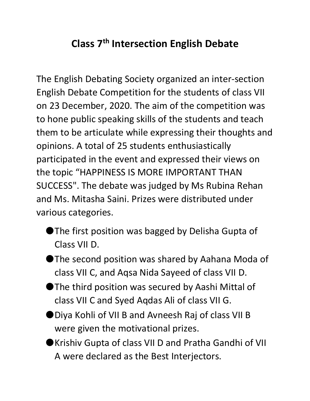## **Class 7th Intersection English Debate**

The English Debating Society organized an inter-section English Debate Competition for the students of class VII on 23 December, 2020. The aim of the competition was to hone public speaking skills of the students and teach them to be articulate while expressing their thoughts and opinions. A total of 25 students enthusiastically participated in the event and expressed their views on the topic "HAPPINESS IS MORE IMPORTANT THAN SUCCESS". The debate was judged by Ms Rubina Rehan and Ms. Mitasha Saini. Prizes were distributed under various categories.

- ●The first position was bagged by Delisha Gupta of Class VII D.
- ●The second position was shared by Aahana Moda of class VII C, and Aqsa Nida Sayeed of class VII D.
- ●The third position was secured by Aashi Mittal of class VII C and Syed Aqdas Ali of class VII G.
- ●Diya Kohli of VII B and Avneesh Raj of class VII B were given the motivational prizes.
- ●Krishiv Gupta of class VII D and Pratha Gandhi of VII A were declared as the Best Interjectors.